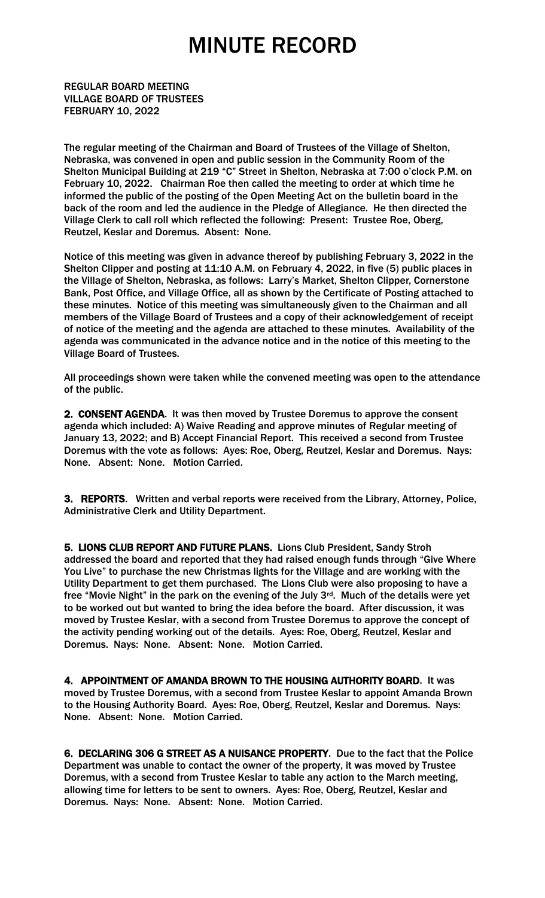REGULAR BOARD MEETING VILLAGE BOARD OF TRUSTEES FEBRUARY 10, 2022

The regular meeting of the Chairman and Board of Trustees of the Village of Shelton, Nebraska, was convened in open and public session in the Community Room of the Shelton Municipal Building at 219 "C" Street in Shelton, Nebraska at 7:00 o'clock P.M. on February 10, 2022. Chairman Roe then called the meeting to order at which time he informed the public of the posting of the Open Meeting Act on the bulletin board in the back of the room and led the audience in the Pledge of Allegiance. He then directed the Village Clerk to call roll which reflected the following: Present: Trustee Roe, Oberg, Reutzel, Keslar and Doremus. Absent: None.

Notice of this meeting was given in advance thereof by publishing February 3, 2022 in the Shelton Clipper and posting at 11:10 A.M. on February 4, 2022, in five (5) public places in the Village of Shelton, Nebraska, as follows: Larry's Market, Shelton Clipper, Cornerstone Bank, Post Office, and Village Office, all as shown by the Certificate of Posting attached to these minutes. Notice of this meeting was simultaneously given to the Chairman and all members of the Village Board of Trustees and a copy of their acknowledgement of receipt of notice of the meeting and the agenda are attached to these minutes. Availability of the agenda was communicated in the advance notice and in the notice of this meeting to the Village Board of Trustees.

All proceedings shown were taken while the convened meeting was open to the attendance of the public.

2. CONSENT AGENDA. It was then moved by Trustee Doremus to approve the consent agenda which included: A) Waive Reading and approve minutes of Regular meeting of January 13, 2022; and B) Accept Financial Report. This received a second from Trustee Doremus with the vote as follows: Ayes: Roe, Oberg, Reutzel, Keslar and Doremus. Nays: None. Absent: None. Motion Carried.

3. REPORTS. Written and verbal reports were received from the Library, Attorney, Police, Administrative Clerk and Utility Department.

5. LIONS CLUB REPORT AND FUTURE PLANS. Lions Club President, Sandy Stroh addressed the board and reported that they had raised enough funds through "Give Where You Live" to purchase the new Christmas lights for the Village and are working with the Utility Department to get them purchased. The Lions Club were also proposing to have a free "Movie Night" in the park on the evening of the July 3rd. Much of the details were yet to be worked out but wanted to bring the idea before the board. After discussion, it was moved by Trustee Keslar, with a second from Trustee Doremus to approve the concept of the activity pending working out of the details. Ayes: Roe, Oberg, Reutzel, Keslar and Doremus. Nays: None. Absent: None. Motion Carried.

4. APPOINTMENT OF AMANDA BROWN TO THE HOUSING AUTHORITY BOARD. It was moved by Trustee Doremus, with a second from Trustee Keslar to appoint Amanda Brown to the Housing Authority Board. Ayes: Roe, Oberg, Reutzel, Keslar and Doremus. Nays: None. Absent: None. Motion Carried.

6. DECLARING 306 G STREET AS A NUISANCE PROPERTY. Due to the fact that the Police Department was unable to contact the owner of the property, it was moved by Trustee Doremus, with a second from Trustee Keslar to table any action to the March meeting, allowing time for letters to be sent to owners. Ayes: Roe, Oberg, Reutzel, Keslar and Doremus. Nays: None. Absent: None. Motion Carried.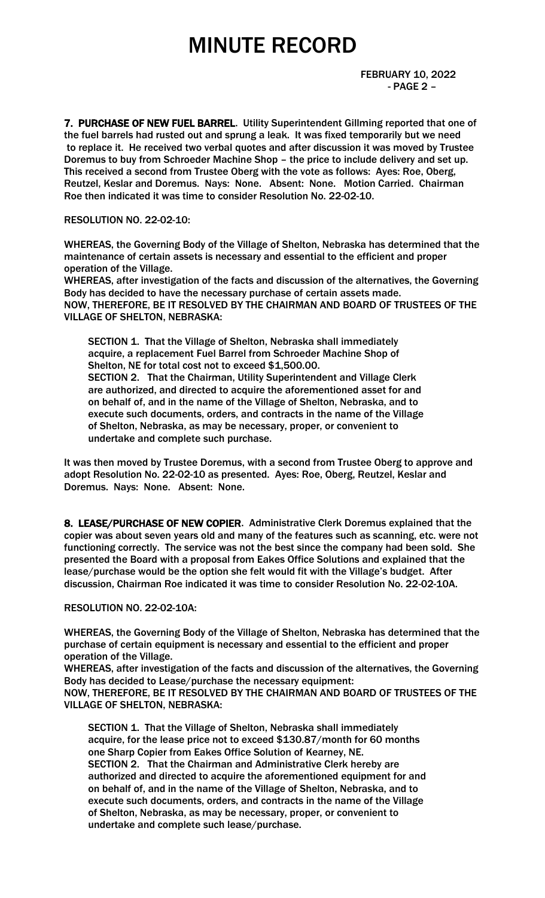FEBRUARY 10, 2022 - PAGE 2 –

7. PURCHASE OF NEW FUEL BARREL. Utility Superintendent Gillming reported that one of the fuel barrels had rusted out and sprung a leak. It was fixed temporarily but we need to replace it. He received two verbal quotes and after discussion it was moved by Trustee Doremus to buy from Schroeder Machine Shop – the price to include delivery and set up. This received a second from Trustee Oberg with the vote as follows: Ayes: Roe, Oberg, Reutzel, Keslar and Doremus. Nays: None. Absent: None. Motion Carried. Chairman Roe then indicated it was time to consider Resolution No. 22-02-10.

### RESOLUTION NO. 22-02-10:

WHEREAS, the Governing Body of the Village of Shelton, Nebraska has determined that the maintenance of certain assets is necessary and essential to the efficient and proper operation of the Village.

WHEREAS, after investigation of the facts and discussion of the alternatives, the Governing Body has decided to have the necessary purchase of certain assets made. NOW, THEREFORE, BE IT RESOLVED BY THE CHAIRMAN AND BOARD OF TRUSTEES OF THE VILLAGE OF SHELTON, NEBRASKA:

 SECTION 1. That the Village of Shelton, Nebraska shall immediately acquire, a replacement Fuel Barrel from Schroeder Machine Shop of Shelton, NE for total cost not to exceed \$1,500.00. SECTION 2. That the Chairman, Utility Superintendent and Village Clerk are authorized, and directed to acquire the aforementioned asset for and on behalf of, and in the name of the Village of Shelton, Nebraska, and to execute such documents, orders, and contracts in the name of the Village of Shelton, Nebraska, as may be necessary, proper, or convenient to undertake and complete such purchase.

It was then moved by Trustee Doremus, with a second from Trustee Oberg to approve and adopt Resolution No. 22-02-10 as presented. Ayes: Roe, Oberg, Reutzel, Keslar and Doremus. Nays: None. Absent: None.

8. LEASE/PURCHASE OF NEW COPIER. Administrative Clerk Doremus explained that the copier was about seven years old and many of the features such as scanning, etc. were not functioning correctly. The service was not the best since the company had been sold. She presented the Board with a proposal from Eakes Office Solutions and explained that the lease/purchase would be the option she felt would fit with the Village's budget. After discussion, Chairman Roe indicated it was time to consider Resolution No. 22-02-10A.

### RESOLUTION NO. 22-02-10A:

WHEREAS, the Governing Body of the Village of Shelton, Nebraska has determined that the purchase of certain equipment is necessary and essential to the efficient and proper operation of the Village.

WHEREAS, after investigation of the facts and discussion of the alternatives, the Governing Body has decided to Lease/purchase the necessary equipment: NOW, THEREFORE, BE IT RESOLVED BY THE CHAIRMAN AND BOARD OF TRUSTEES OF THE VILLAGE OF SHELTON, NEBRASKA:

 SECTION 1. That the Village of Shelton, Nebraska shall immediately acquire, for the lease price not to exceed \$130.87/month for 60 months one Sharp Copier from Eakes Office Solution of Kearney, NE. SECTION 2. That the Chairman and Administrative Clerk hereby are authorized and directed to acquire the aforementioned equipment for and on behalf of, and in the name of the Village of Shelton, Nebraska, and to execute such documents, orders, and contracts in the name of the Village of Shelton, Nebraska, as may be necessary, proper, or convenient to undertake and complete such lease/purchase.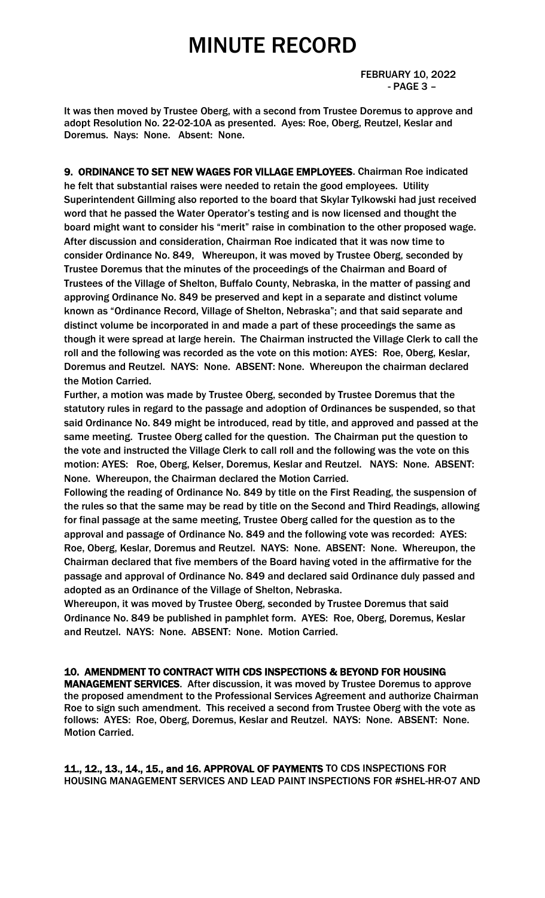FEBRUARY 10, 2022 - PAGE 3 –

It was then moved by Trustee Oberg, with a second from Trustee Doremus to approve and adopt Resolution No. 22-02-10A as presented. Ayes: Roe, Oberg, Reutzel, Keslar and Doremus. Nays: None. Absent: None.

9. ORDINANCE TO SET NEW WAGES FOR VILLAGE EMPLOYEES. Chairman Roe indicated he felt that substantial raises were needed to retain the good employees. Utility Superintendent Gillming also reported to the board that Skylar Tylkowski had just received word that he passed the Water Operator's testing and is now licensed and thought the board might want to consider his "merit" raise in combination to the other proposed wage. After discussion and consideration, Chairman Roe indicated that it was now time to consider Ordinance No. 849, Whereupon, it was moved by Trustee Oberg, seconded by Trustee Doremus that the minutes of the proceedings of the Chairman and Board of Trustees of the Village of Shelton, Buffalo County, Nebraska, in the matter of passing and approving Ordinance No. 849 be preserved and kept in a separate and distinct volume known as "Ordinance Record, Village of Shelton, Nebraska"; and that said separate and distinct volume be incorporated in and made a part of these proceedings the same as though it were spread at large herein. The Chairman instructed the Village Clerk to call the roll and the following was recorded as the vote on this motion: AYES: Roe, Oberg, Keslar, Doremus and Reutzel. NAYS: None. ABSENT: None. Whereupon the chairman declared the Motion Carried.

Further, a motion was made by Trustee Oberg, seconded by Trustee Doremus that the statutory rules in regard to the passage and adoption of Ordinances be suspended, so that said Ordinance No. 849 might be introduced, read by title, and approved and passed at the same meeting. Trustee Oberg called for the question. The Chairman put the question to the vote and instructed the Village Clerk to call roll and the following was the vote on this motion: AYES: Roe, Oberg, Kelser, Doremus, Keslar and Reutzel. NAYS: None. ABSENT: None. Whereupon, the Chairman declared the Motion Carried.

Following the reading of Ordinance No. 849 by title on the First Reading, the suspension of the rules so that the same may be read by title on the Second and Third Readings, allowing for final passage at the same meeting, Trustee Oberg called for the question as to the approval and passage of Ordinance No. 849 and the following vote was recorded: AYES: Roe, Oberg, Keslar, Doremus and Reutzel. NAYS: None. ABSENT: None. Whereupon, the Chairman declared that five members of the Board having voted in the affirmative for the passage and approval of Ordinance No. 849 and declared said Ordinance duly passed and adopted as an Ordinance of the Village of Shelton, Nebraska.

Whereupon, it was moved by Trustee Oberg, seconded by Trustee Doremus that said Ordinance No. 849 be published in pamphlet form. AYES: Roe, Oberg, Doremus, Keslar and Reutzel. NAYS: None. ABSENT: None. Motion Carried.

### 10. AMENDMENT TO CONTRACT WITH CDS INSPECTIONS & BEYOND FOR HOUSING

MANAGEMENT SERVICES. After discussion, it was moved by Trustee Doremus to approve the proposed amendment to the Professional Services Agreement and authorize Chairman Roe to sign such amendment. This received a second from Trustee Oberg with the vote as follows: AYES: Roe, Oberg, Doremus, Keslar and Reutzel. NAYS: None. ABSENT: None. Motion Carried.

11., 12., 13., 14., 15., and 16. APPROVAL OF PAYMENTS TO CDS INSPECTIONS FOR HOUSING MANAGEMENT SERVICES AND LEAD PAINT INSPECTIONS FOR #SHEL-HR-O7 AND